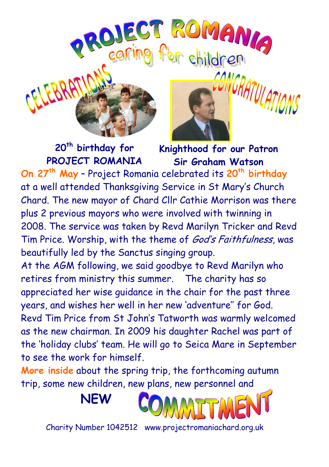





**Knighthood for our Patron Sir Graham Watson**

**On 27th May** – Project Romania celebrated its **20th birthday** at a well attended Thanksgiving Service in St Mary's Church Chard. The new mayor of Chard Cllr Cathie Morrison was there plus 2 previous mayors who were involved with twinning in 2008. The service was taken by Revd Marilyn Tricker and Revd Tim Price. Worship, with the theme of *God's Faithfulness*, was beautifully led by the Sanctus singing group.

At the AGM following, we said goodbye to Revd Marilyn who retires from ministry this summer. The charity has so appreciated her wise guidance in the chair for the past three years, and wishes her well in her new 'adventure'' for God. Revd Tim Price from St John's Tatworth was warmly welcomed as the new chairman. In 2009 his daughter Rachel was part of the 'holiday clubs' team. He will go to Seica Mare in September to see the work for himself.

**More inside** about the spring trip, the forthcoming autumn trip, some new children, new plans, new personnel and





Charity Number 1042512 www.projectromaniachard.org.uk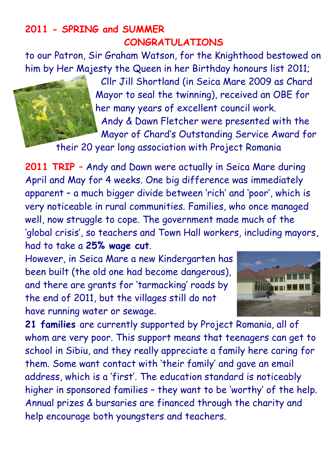### **2011 - SPRING and SUMMER CONGRATULATIONS**

to our Patron, Sir Graham Watson, for the Knighthood bestowed on him by Her Majesty the Queen in her Birthday honours list 2011;

> Cllr Jill Shortland (in Seica Mare 2009 as Chard Mayor to seal the twinning), received an OBE for her many years of excellent council work. Andy & Dawn Fletcher were presented with the Mayor of Chard's Outstanding Service Award for

their 20 year long association with Project Romania

**2011 TRIP –** Andy and Dawn were actually in Seica Mare during April and May for 4 weeks. One big difference was immediately apparent – a much bigger divide between 'rich' and 'poor', which is very noticeable in rural communities. Families, who once managed well, now struggle to cope. The government made much of the 'global crisis', so teachers and Town Hall workers, including mayors, had to take a **25% wage cut**.

However, in Seica Mare a new Kindergarten has been built (the old one had become dangerous), and there are grants for 'tarmacking' roads by the end of 2011, but the villages still do not have running water or sewage.



**21 families** are currently supported by Project Romania, all of whom are very poor. This support means that teenagers can get to school in Sibiu, and they really appreciate a family here caring for them. Some want contact with 'their family' and gave an email address, which is a 'first'. The education standard is noticeably higher in sponsored families – they want to be 'worthy' of the help. Annual prizes & bursaries are financed through the charity and help encourage both youngsters and teachers.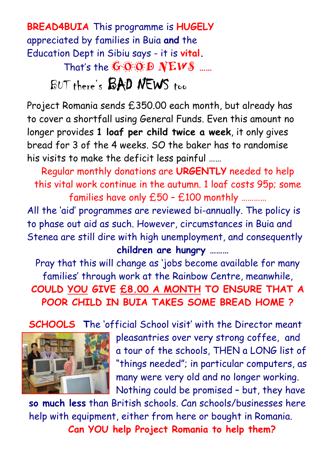**BREAD4BUIA** This programme is **HUGELY** appreciated by families in Buia **and** the Education Dept in Sibiu says - it is **vital.** That's the **GOOD NEWS ……**

## BUT there's BAD NEWS too

Project Romania sends £350.00 each month, but already has to cover a shortfall using General Funds. Even this amount no longer provides **1 loaf per child twice a week**, it only gives bread for 3 of the 4 weeks. SO the baker has to randomise his visits to make the deficit less painful ……

Regular monthly donations are **URGENTLY** needed to help this vital work continue in the autumn. 1 loaf costs 95p; some families have only £50 – £100 monthly …………

All the 'aid' programmes are reviewed bi-annually. The policy is to phase out aid as such. However, circumstances in Buia and Stenea are still dire with high unemployment, and consequently

#### **children are hungry ………**

Pray that this will change as 'jobs become available for many families' through work at the Rainbow Centre, meanwhile, **COULD YOU GIVE £8.00 A MONTH TO ENSURE THAT A POOR CHILD IN BUIA TAKES SOME BREAD HOME ?**

**SCHOOLS T**he 'official School visit' with the Director meant



 pleasantries over very strong coffee, and a tour of the schools, THEN a LONG list of "things needed"; in particular computers, as many were very old and no longer working. Nothing could be promised – but, they have

**so much less** than British schools. Can schools/businesses here help with equipment, either from here or bought in Romania. **Can YOU help Project Romania to help them?**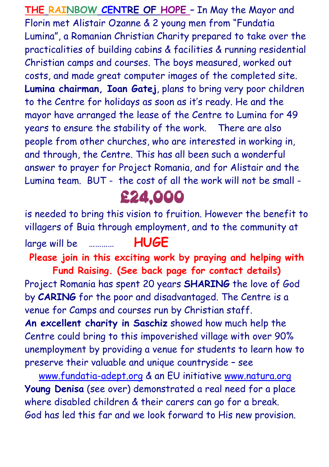**THE RAINBOW CENTRE OF HOPE –** In May the Mayor and Florin met Alistair Ozanne & 2 young men from "Fundatia Lumina", a Romanian Christian Charity prepared to take over the practicalities of building cabins & facilities & running residential Christian camps and courses. The boys measured, worked out costs, and made great computer images of the completed site. **Lumina chairman, Ioan Gatej**, plans to bring very poor children to the Centre for holidays as soon as it's ready. He and the mayor have arranged the lease of the Centre to Lumina for 49 years to ensure the stability of the work. There are also people from other churches, who are interested in working in, and through, the Centre. This has all been such a wonderful answer to prayer for Project Romania, and for Alistair and the Lumina team. BUT - the cost of all the work will not be small -

£24,000

is needed to bring this vision to fruition. However the benefit to villagers of Buia through employment, and to the community at

large will be ………… **HUGE**

**Please join in this exciting work by praying and helping with Fund Raising. (See back page for contact details)** Project Romania has spent 20 years **SHARING** the love of God by **CARING** for the poor and disadvantaged. The Centre is a venue for Camps and courses run by Christian staff. **An excellent charity in Saschiz** showed how much help the Centre could bring to this impoverished village with over 90% unemployment by providing a venue for students to learn how to preserve their valuable and unique countryside – see

 www.fundatia[-adept.org](http://www.fundatia-adept.org/) & an EU initiative [www.natura.org](http://www.natura.org/) **Young Denisa** (see over) demonstrated a real need for a place where disabled children & their carers can go for a break. God has led this far and we look forward to His new provision.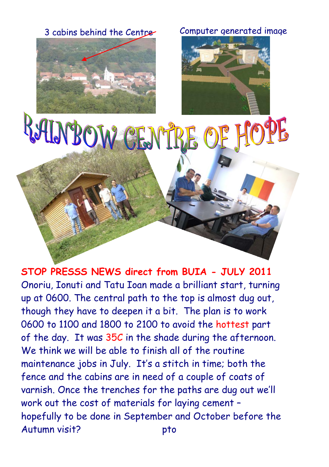

#### 3 cabins behind the Centre Computer generated image



# RAINBOW CENTRE OF HOPE

**STOP PRESSS NEWS direct from BUIA - JULY 2011** Onoriu, Ionuti and Tatu Ioan made a brilliant start, turning up at 0600. The central path to the top is almost dug out, though they have to deepen it a bit. The plan is to work 0600 to 1100 and 1800 to 2100 to avoid the hottest part of the day. It was 35C in the shade during the afternoon. We think we will be able to finish all of the routine maintenance jobs in July. It's a stitch in time; both the fence and the cabins are in need of a couple of coats of varnish. Once the trenches for the paths are dug out we'll work out the cost of materials for laying cement – hopefully to be done in September and October before the Autumn visit? bto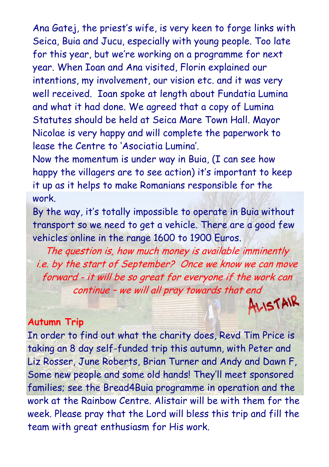Ana Gatej, the priest's wife, is very keen to forge links with Seica, Buia and Jucu, especially with young people. Too late for this year, but we're working on a programme for next year. When Ioan and Ana visited, Florin explained our intentions, my involvement, our vision etc. and it was very well received. Ioan spoke at length about Fundatia Lumina and what it had done. We agreed that a copy of Lumina Statutes should be held at Seica Mare Town Hall. Mayor Nicolae is very happy and will complete the paperwork to lease the Centre to 'Asociatia Lumina'.

Now the momentum is under way in Buia, (I can see how happy the villagers are to see action) it's important to keep it up as it helps to make Romanians responsible for the work.

By the way, it's totally impossible to operate in Buia without transport so we need to get a vehicle. There are a good few vehicles online in the range 1600 to 1900 Euros.

The question is, how much money is available imminently i.e. by the start of September? Once we know we can move forward - it will be so great for everyone if the work can continue – we will all pray towards that end<br>ALISTAIR

#### **Autumn Trip**

In order to find out what the charity does, Revd Tim Price is taking an 8 day self-funded trip this autumn, with Peter and Liz Rosser, June Roberts, Brian Turner and Andy and Dawn F, Some new people and some old hands! They'll meet sponsored families; see the Bread4Buia programme in operation and the work at the Rainbow Centre. Alistair will be with them for the week. Please pray that the Lord will bless this trip and fill the team with great enthusiasm for His work.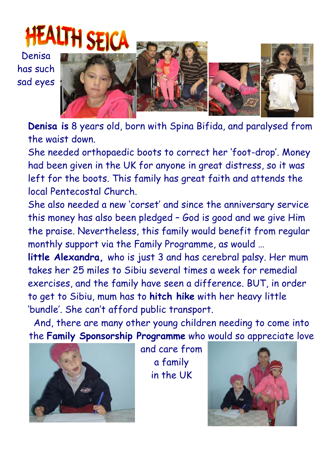Denisa has such sad eyes



**Denisa is** 8 years old, born with Spina Bifida, and paralysed from the waist down.

She needed orthopaedic boots to correct her 'foot-drop'. Money had been given in the UK for anyone in great distress, so it was left for the boots. This family has great faith and attends the local Pentecostal Church.

She also needed a new 'corset' and since the anniversary service this money has also been pledged – God is good and we give Him the praise. Nevertheless, this family would benefit from regular monthly support via the Family Programme, as would …

**little Alexandra,** who is just 3 and has cerebral palsy. Her mum takes her 25 miles to Sibiu several times a week for remedial exercises, and the family have seen a difference. BUT, in order to get to Sibiu, mum has to **hitch hike** with her heavy little 'bundle'. She can't afford public transport.

And, there are many other young children needing to come into the **Family Sponsorship Programme** who would so appreciate love



and care from a family in the UK